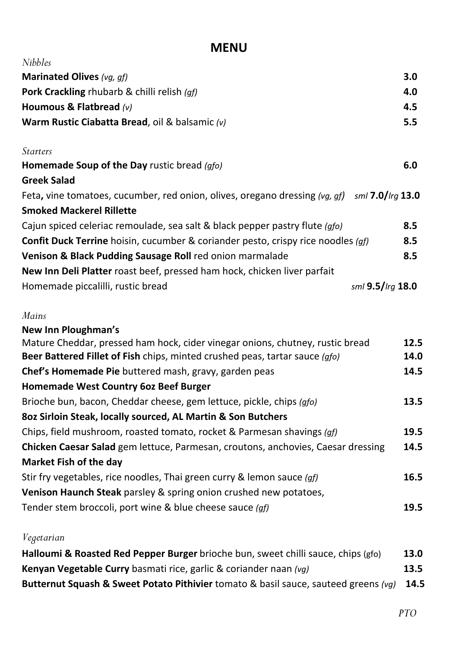## **MENU**

| <i>Nibbles</i>                                                                                                                      |                  |  |
|-------------------------------------------------------------------------------------------------------------------------------------|------------------|--|
| <b>Marinated Olives</b> (vg, gf)                                                                                                    | 3.0              |  |
| <b>Pork Crackling rhubarb &amp; chilli relish (gf)</b>                                                                              | 4.0              |  |
| Houmous & Flatbread $(v)$                                                                                                           | 4.5              |  |
| Warm Rustic Ciabatta Bread, oil & balsamic (v)                                                                                      | 5.5              |  |
| <b>Starters</b>                                                                                                                     |                  |  |
| Homemade Soup of the Day rustic bread (gfo)                                                                                         | 6.0              |  |
| <b>Greek Salad</b>                                                                                                                  |                  |  |
| Feta, vine tomatoes, cucumber, red onion, olives, oregano dressing (vg, gf) $\sin 7.0$ /Irg 13.0<br><b>Smoked Mackerel Rillette</b> |                  |  |
| Cajun spiced celeriac remoulade, sea salt & black pepper pastry flute (gfo)                                                         | 8.5              |  |
| <b>Confit Duck Terrine</b> hoisin, cucumber & coriander pesto, crispy rice noodles (gf)                                             |                  |  |
| Venison & Black Pudding Sausage Roll red onion marmalade                                                                            | 8.5              |  |
| New Inn Deli Platter roast beef, pressed ham hock, chicken liver parfait                                                            |                  |  |
| Homemade piccalilli, rustic bread                                                                                                   | sml 9.5/lrg 18.0 |  |
| Mains                                                                                                                               |                  |  |
| New Inn Ploughman's                                                                                                                 | 12.5             |  |
| Mature Cheddar, pressed ham hock, cider vinegar onions, chutney, rustic bread                                                       |                  |  |
| Beer Battered Fillet of Fish chips, minted crushed peas, tartar sauce (gfo)                                                         |                  |  |
| Chef's Homemade Pie buttered mash, gravy, garden peas                                                                               | 14.5             |  |
| <b>Homemade West Country 60z Beef Burger</b>                                                                                        |                  |  |
| Brioche bun, bacon, Cheddar cheese, gem lettuce, pickle, chips (gfo)                                                                | 13.5             |  |
| 802 Sirloin Steak, locally sourced, AL Martin & Son Butchers                                                                        |                  |  |
| Chips, field mushroom, roasted tomato, rocket & Parmesan shavings (gf)                                                              |                  |  |
| <b>Chicken Caesar Salad</b> gem lettuce, Parmesan, croutons, anchovies, Caesar dressing                                             | 14.5             |  |
| <b>Market Fish of the day</b>                                                                                                       |                  |  |
| Stir fry vegetables, rice noodles, Thai green curry & lemon sauce (qf)                                                              | 16.5             |  |
| Venison Haunch Steak parsley & spring onion crushed new potatoes,                                                                   |                  |  |
| Tender stem broccoli, port wine & blue cheese sauce (gf)                                                                            | 19.5             |  |

## *Vegetarian*

| Halloumi & Roasted Red Pepper Burger brioche bun, sweet chilli sauce, chips (gfo)                   | 13.0 |
|-----------------------------------------------------------------------------------------------------|------|
| Kenyan Vegetable Curry basmati rice, garlic & coriander naan (vg)                                   | 13.5 |
| <b>Butternut Squash &amp; Sweet Potato Pithivier</b> tomato & basil sauce, sauteed greens (vg) 14.5 |      |